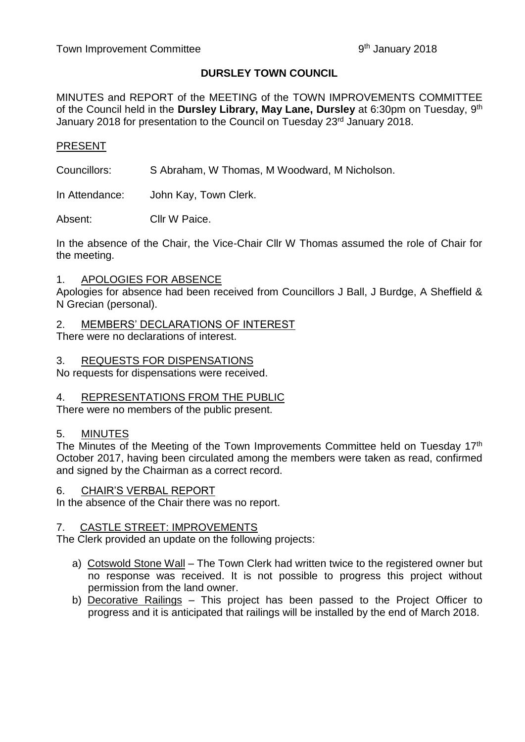### **DURSLEY TOWN COUNCIL**

MINUTES and REPORT of the MEETING of the TOWN IMPROVEMENTS COMMITTEE of the Council held in the **Dursley Library, May Lane, Dursley** at 6:30pm on Tuesday, 9<sup>th</sup> January 2018 for presentation to the Council on Tuesday 23<sup>rd</sup> January 2018.

### PRESENT

Councillors: S Abraham, W Thomas, M Woodward, M Nicholson.

In Attendance: John Kay, Town Clerk.

Absent: Cllr W Paice.

In the absence of the Chair, the Vice-Chair Cllr W Thomas assumed the role of Chair for the meeting.

### 1. APOLOGIES FOR ABSENCE

Apologies for absence had been received from Councillors J Ball, J Burdge, A Sheffield & N Grecian (personal).

# 2. MEMBERS' DECLARATIONS OF INTEREST

There were no declarations of interest.

### 3. REQUESTS FOR DISPENSATIONS

No requests for dispensations were received.

## 4. REPRESENTATIONS FROM THE PUBLIC

There were no members of the public present.

## 5. MINUTES

The Minutes of the Meeting of the Town Improvements Committee held on Tuesday 17<sup>th</sup> October 2017, having been circulated among the members were taken as read, confirmed and signed by the Chairman as a correct record.

### 6. CHAIR'S VERBAL REPORT

In the absence of the Chair there was no report.

### 7. CASTLE STREET: IMPROVEMENTS

The Clerk provided an update on the following projects:

- a) Cotswold Stone Wall The Town Clerk had written twice to the registered owner but no response was received. It is not possible to progress this project without permission from the land owner.
- b) Decorative Railings This project has been passed to the Project Officer to progress and it is anticipated that railings will be installed by the end of March 2018.